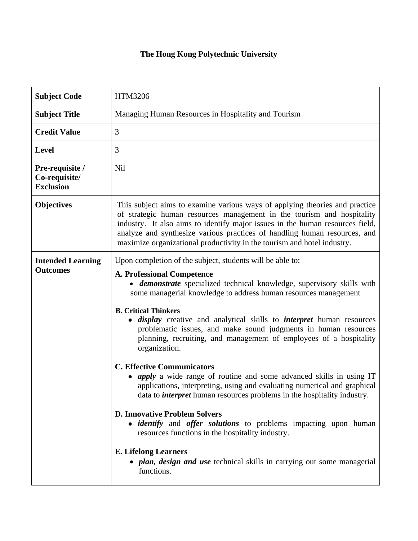## **The Hong Kong Polytechnic University**

| <b>Subject Code</b>                                  | HTM3206                                                                                                                                                                                                                                                                                                                                                                                                                                                                                                                                                                                                                                                                                                                                                                                                                                                                                                                                                                                                                                                                                                                            |
|------------------------------------------------------|------------------------------------------------------------------------------------------------------------------------------------------------------------------------------------------------------------------------------------------------------------------------------------------------------------------------------------------------------------------------------------------------------------------------------------------------------------------------------------------------------------------------------------------------------------------------------------------------------------------------------------------------------------------------------------------------------------------------------------------------------------------------------------------------------------------------------------------------------------------------------------------------------------------------------------------------------------------------------------------------------------------------------------------------------------------------------------------------------------------------------------|
| <b>Subject Title</b>                                 | Managing Human Resources in Hospitality and Tourism                                                                                                                                                                                                                                                                                                                                                                                                                                                                                                                                                                                                                                                                                                                                                                                                                                                                                                                                                                                                                                                                                |
| <b>Credit Value</b>                                  | 3                                                                                                                                                                                                                                                                                                                                                                                                                                                                                                                                                                                                                                                                                                                                                                                                                                                                                                                                                                                                                                                                                                                                  |
| <b>Level</b>                                         | 3                                                                                                                                                                                                                                                                                                                                                                                                                                                                                                                                                                                                                                                                                                                                                                                                                                                                                                                                                                                                                                                                                                                                  |
| Pre-requisite /<br>Co-requisite/<br><b>Exclusion</b> | <b>Nil</b>                                                                                                                                                                                                                                                                                                                                                                                                                                                                                                                                                                                                                                                                                                                                                                                                                                                                                                                                                                                                                                                                                                                         |
| <b>Objectives</b>                                    | This subject aims to examine various ways of applying theories and practice<br>of strategic human resources management in the tourism and hospitality<br>industry. It also aims to identify major issues in the human resources field,<br>analyze and synthesize various practices of handling human resources, and<br>maximize organizational productivity in the tourism and hotel industry.                                                                                                                                                                                                                                                                                                                                                                                                                                                                                                                                                                                                                                                                                                                                     |
| <b>Intended Learning</b><br><b>Outcomes</b>          | Upon completion of the subject, students will be able to:<br><b>A. Professional Competence</b><br>• demonstrate specialized technical knowledge, supervisory skills with<br>some managerial knowledge to address human resources management<br><b>B. Critical Thinkers</b><br><i>display</i> creative and analytical skills to <i>interpret</i> human resources<br>$\bullet$<br>problematic issues, and make sound judgments in human resources<br>planning, recruiting, and management of employees of a hospitality<br>organization.<br><b>C. Effective Communicators</b><br><i>apply</i> a wide range of routine and some advanced skills in using IT<br>applications, interpreting, using and evaluating numerical and graphical<br>data to <i>interpret</i> human resources problems in the hospitality industry.<br><b>D. Innovative Problem Solvers</b><br>· <i>identify</i> and <i>offer solutions</i> to problems impacting upon human<br>resources functions in the hospitality industry.<br><b>E. Lifelong Learners</b><br>• <i>plan, design and use</i> technical skills in carrying out some managerial<br>functions. |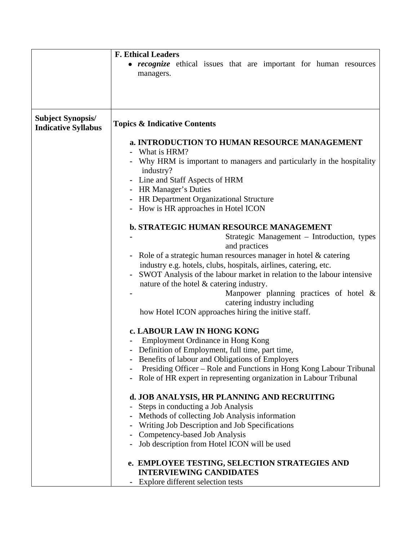|                                                        | <b>F. Ethical Leaders</b>                                                             |
|--------------------------------------------------------|---------------------------------------------------------------------------------------|
|                                                        | • <i>recognize</i> ethical issues that are important for human resources<br>managers. |
|                                                        |                                                                                       |
| <b>Subject Synopsis/</b><br><b>Indicative Syllabus</b> | <b>Topics &amp; Indicative Contents</b>                                               |
|                                                        | a. INTRODUCTION TO HUMAN RESOURCE MANAGEMENT                                          |
|                                                        | - What is HRM?                                                                        |
|                                                        | Why HRM is important to managers and particularly in the hospitality<br>industry?     |
|                                                        | - Line and Staff Aspects of HRM                                                       |
|                                                        | <b>HR Manager's Duties</b>                                                            |
|                                                        | HR Department Organizational Structure                                                |
|                                                        | How is HR approaches in Hotel ICON                                                    |
|                                                        | <b>b. STRATEGIC HUMAN RESOURCE MANAGEMENT</b>                                         |
|                                                        | Strategic Management – Introduction, types                                            |
|                                                        | and practices                                                                         |
|                                                        | Role of a strategic human resources manager in hotel & catering                       |
|                                                        | industry e.g. hotels, clubs, hospitals, airlines, catering, etc.                      |
|                                                        | SWOT Analysis of the labour market in relation to the labour intensive                |
|                                                        | nature of the hotel $\&$ catering industry.                                           |
|                                                        | Manpower planning practices of hotel $\&$<br>catering industry including              |
|                                                        | how Hotel ICON approaches hiring the initive staff.                                   |
|                                                        | c. LABOUR LAW IN HONG KONG                                                            |
|                                                        | Employment Ordinance in Hong Kong                                                     |
|                                                        | Definition of Employment, full time, part time,                                       |
|                                                        | Benefits of labour and Obligations of Employers                                       |
|                                                        | Presiding Officer – Role and Functions in Hong Kong Labour Tribunal                   |
|                                                        | Role of HR expert in representing organization in Labour Tribunal                     |
|                                                        | d. JOB ANALYSIS, HR PLANNING AND RECRUITING                                           |
|                                                        | Steps in conducting a Job Analysis                                                    |
|                                                        | Methods of collecting Job Analysis information                                        |
|                                                        | Writing Job Description and Job Specifications                                        |
|                                                        | Competency-based Job Analysis                                                         |
|                                                        | Job description from Hotel ICON will be used                                          |
|                                                        | e. EMPLOYEE TESTING, SELECTION STRATEGIES AND                                         |
|                                                        | <b>INTERVIEWING CANDIDATES</b>                                                        |
|                                                        | Explore different selection tests                                                     |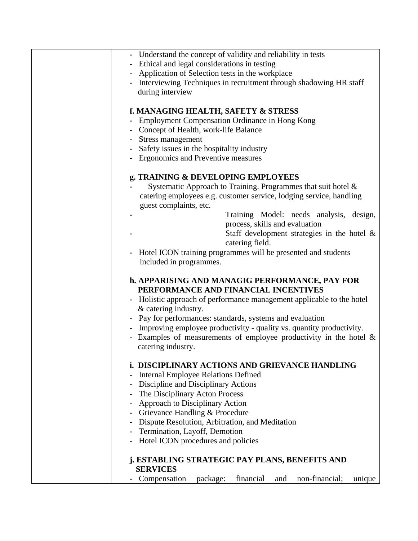| - Understand the concept of validity and reliability in tests            |
|--------------------------------------------------------------------------|
|                                                                          |
| - Ethical and legal considerations in testing                            |
| Application of Selection tests in the workplace                          |
| - Interviewing Techniques in recruitment through shadowing HR staff      |
| during interview                                                         |
|                                                                          |
| f. MANAGING HEALTH, SAFETY & STRESS                                      |
| - Employment Compensation Ordinance in Hong Kong                         |
| - Concept of Health, work-life Balance                                   |
|                                                                          |
| - Stress management                                                      |
| Safety issues in the hospitality industry                                |
| - Ergonomics and Preventive measures                                     |
|                                                                          |
| g. TRAINING & DEVELOPING EMPLOYEES                                       |
| Systematic Approach to Training. Programmes that suit hotel &            |
| catering employees e.g. customer service, lodging service, handling      |
| guest complaints, etc.                                                   |
| Training Model: needs analysis, design,                                  |
| process, skills and evaluation                                           |
|                                                                          |
| Staff development strategies in the hotel $\&$                           |
| catering field.                                                          |
| Hotel ICON training programmes will be presented and students            |
| included in programmes.                                                  |
|                                                                          |
| h. APPARISING AND MANAGIG PERFORMANCE, PAY FOR                           |
| PERFORMANCE AND FINANCIAL INCENTIVES                                     |
| - Holistic approach of performance management applicable to the hotel    |
| & catering industry.                                                     |
| - Pay for performances: standards, systems and evaluation                |
| - Improving employee productivity - quality vs. quantity productivity.   |
| Examples of measurements of employee productivity in the hotel $\&$      |
| catering industry.                                                       |
|                                                                          |
|                                                                          |
| i. DISCIPLINARY ACTIONS AND GRIEVANCE HANDLING                           |
| <b>Internal Employee Relations Defined</b>                               |
| Discipline and Disciplinary Actions                                      |
| The Disciplinary Acton Process                                           |
| <b>Approach to Disciplinary Action</b>                                   |
| Grievance Handling & Procedure                                           |
| Dispute Resolution, Arbitration, and Meditation<br>$\blacksquare$        |
| Termination, Layoff, Demotion                                            |
| Hotel ICON procedures and policies                                       |
|                                                                          |
| j. ESTABLING STRATEGIC PAY PLANS, BENEFITS AND                           |
| <b>SERVICES</b>                                                          |
|                                                                          |
| package:<br>financial<br>non-financial;<br>Compensation<br>and<br>unique |